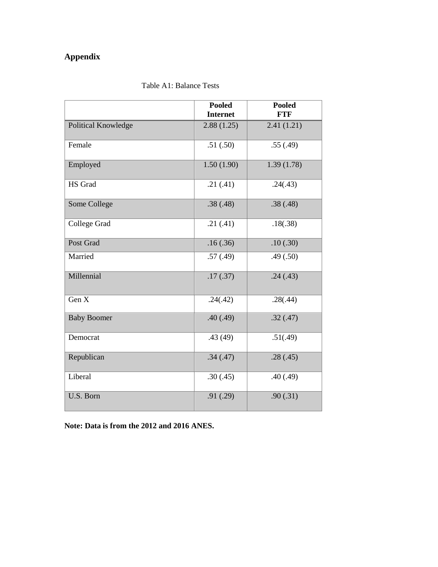## **Appendix**

|                     | <b>Pooled</b><br><b>Internet</b> | <b>Pooled</b><br><b>FTF</b> |
|---------------------|----------------------------------|-----------------------------|
| Political Knowledge | 2.88(1.25)                       | 2.41(1.21)                  |
| Female              | .51(.50)                         | .55(.49)                    |
| Employed            | 1.50(1.90)                       | 1.39(1.78)                  |
| HS Grad             | .21(.41)                         | .24(.43)                    |
| Some College        | .38(.48)                         | .38(.48)                    |
| College Grad        | .21(.41)                         | .18(.38)                    |
| Post Grad           | .16(.36)                         | .10(.30)                    |
| Married             | .57(.49)                         | .49(.50)                    |
| Millennial          | .17(.37)                         | .24(.43)                    |
| Gen X               | .24(.42)                         | .28(.44)                    |
| <b>Baby Boomer</b>  | .40(.49)                         | .32(.47)                    |
| Democrat            | .43(49)                          | .51(.49)                    |
| Republican          | .34(.47)                         | .28(.45)                    |
| Liberal             | .30(.45)                         | .40(.49)                    |
| U.S. Born           | .91(.29)                         | .90(.31)                    |

## Table A1: Balance Tests

**Note: Data is from the 2012 and 2016 ANES.**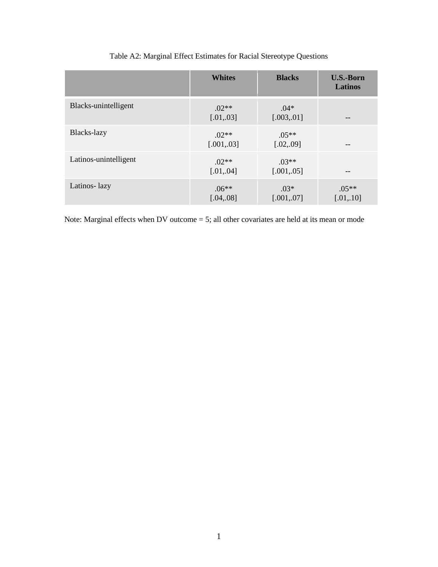|                       | <b>Whites</b>          | <b>Blacks</b>          | <b>U.S.-Born</b><br><b>Latinos</b> |
|-----------------------|------------------------|------------------------|------------------------------------|
| Blacks-unintelligent  | $.02**$<br>[.01, .03]  | $.04*$<br>[.003, .01]  |                                    |
| Blacks-lazy           | $.02**$<br>[.001, .03] | $.05**$<br>[.02, .09]  | --                                 |
| Latinos-unintelligent | $02**$<br>[.01, .04]   | $.03**$<br>[.001, .05] |                                    |
| Latinos-lazy          | $.06**$<br>[.04, .08]  | $.03*$<br>[.001, .07]  | $.05**$<br>[.01, .10]              |

## Table A2: Marginal Effect Estimates for Racial Stereotype Questions

Note: Marginal effects when DV outcome = 5; all other covariates are held at its mean or mode